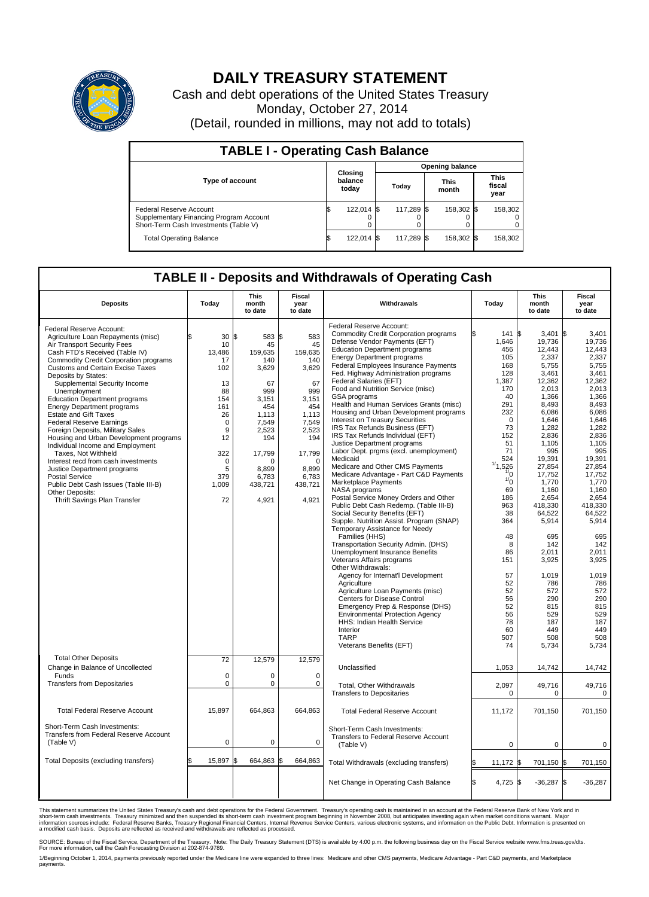

## **DAILY TREASURY STATEMENT**

Cash and debt operations of the United States Treasury Monday, October 27, 2014 (Detail, rounded in millions, may not add to totals)

| <b>TABLE I - Operating Cash Balance</b>                                                                     |     |                             |                        |            |  |                      |  |                               |  |  |  |
|-------------------------------------------------------------------------------------------------------------|-----|-----------------------------|------------------------|------------|--|----------------------|--|-------------------------------|--|--|--|
|                                                                                                             |     |                             | <b>Opening balance</b> |            |  |                      |  |                               |  |  |  |
| <b>Type of account</b>                                                                                      |     | Closing<br>balance<br>today |                        | Today      |  | <b>This</b><br>month |  | <b>This</b><br>fiscal<br>year |  |  |  |
| Federal Reserve Account<br>Supplementary Financing Program Account<br>Short-Term Cash Investments (Table V) |     | 122,014 \$                  |                        | 117.289 \$ |  | 158,302 \$           |  | 158,302                       |  |  |  |
| <b>Total Operating Balance</b>                                                                              | 135 | 122,014 \$                  |                        | 117,289 \$ |  | 158,302 \$           |  | 158,302                       |  |  |  |

## **TABLE II - Deposits and Withdrawals of Operating Cash**

| <b>Deposits</b>                                                                                                                                                                                                                                                                                                                                                                                                                                                                                                                                                                                                                                                                                                                                                                       | Today                                                                                                                                      | <b>This</b><br>month<br>to date                                                                                                                                        | <b>Fiscal</b><br>year<br>to date                                                                                                                                      | Withdrawals                                                                                                                                                                                                                                                                                                                                                                                                                                                                                                                                                                                                                                                                                                                                                                                                                                                                                                                                                                                                                                                                                                       | Today                                                                                                                                                                                                                                 | <b>This</b><br>month<br>to date                                                                                                                                                                                                                                      | Fiscal<br>year<br>to date                                                                                                                                                                                                                                                   |
|---------------------------------------------------------------------------------------------------------------------------------------------------------------------------------------------------------------------------------------------------------------------------------------------------------------------------------------------------------------------------------------------------------------------------------------------------------------------------------------------------------------------------------------------------------------------------------------------------------------------------------------------------------------------------------------------------------------------------------------------------------------------------------------|--------------------------------------------------------------------------------------------------------------------------------------------|------------------------------------------------------------------------------------------------------------------------------------------------------------------------|-----------------------------------------------------------------------------------------------------------------------------------------------------------------------|-------------------------------------------------------------------------------------------------------------------------------------------------------------------------------------------------------------------------------------------------------------------------------------------------------------------------------------------------------------------------------------------------------------------------------------------------------------------------------------------------------------------------------------------------------------------------------------------------------------------------------------------------------------------------------------------------------------------------------------------------------------------------------------------------------------------------------------------------------------------------------------------------------------------------------------------------------------------------------------------------------------------------------------------------------------------------------------------------------------------|---------------------------------------------------------------------------------------------------------------------------------------------------------------------------------------------------------------------------------------|----------------------------------------------------------------------------------------------------------------------------------------------------------------------------------------------------------------------------------------------------------------------|-----------------------------------------------------------------------------------------------------------------------------------------------------------------------------------------------------------------------------------------------------------------------------|
| Federal Reserve Account:<br>Agriculture Loan Repayments (misc)<br>Air Transport Security Fees<br>Cash FTD's Received (Table IV)<br><b>Commodity Credit Corporation programs</b><br><b>Customs and Certain Excise Taxes</b><br>Deposits by States:<br>Supplemental Security Income<br>Unemployment<br><b>Education Department programs</b><br><b>Energy Department programs</b><br><b>Estate and Gift Taxes</b><br><b>Federal Reserve Earnings</b><br>Foreign Deposits, Military Sales<br>Housing and Urban Development programs<br>Individual Income and Employment<br>Taxes, Not Withheld<br>Interest recd from cash investments<br>Justice Department programs<br><b>Postal Service</b><br>Public Debt Cash Issues (Table III-B)<br>Other Deposits:<br>Thrift Savings Plan Transfer | 30<br>10<br>13,486<br>17<br>102<br>13<br>88<br>154<br>161<br>26<br>$\mathbf 0$<br>9<br>12<br>322<br>$\mathbf 0$<br>5<br>379<br>1,009<br>72 | 1\$<br>583<br>45<br>159,635<br>140<br>3,629<br>67<br>999<br>3,151<br>454<br>1,113<br>7,549<br>2,523<br>194<br>17,799<br>$\Omega$<br>8.899<br>6.783<br>438,721<br>4,921 | \$<br>583<br>45<br>159.635<br>140<br>3,629<br>67<br>999<br>3,151<br>454<br>1,113<br>7,549<br>2,523<br>194<br>17,799<br>$\Omega$<br>8.899<br>6,783<br>438,721<br>4,921 | Federal Reserve Account:<br><b>Commodity Credit Corporation programs</b><br>Defense Vendor Payments (EFT)<br><b>Education Department programs</b><br><b>Energy Department programs</b><br>Federal Employees Insurance Payments<br>Fed. Highway Administration programs<br>Federal Salaries (EFT)<br>Food and Nutrition Service (misc)<br>GSA programs<br>Health and Human Services Grants (misc)<br>Housing and Urban Development programs<br>Interest on Treasury Securities<br>IRS Tax Refunds Business (EFT)<br>IRS Tax Refunds Individual (EFT)<br>Justice Department programs<br>Labor Dept. prgms (excl. unemployment)<br>Medicaid<br>Medicare and Other CMS Payments<br>Medicare Advantage - Part C&D Payments<br>Marketplace Payments<br>NASA programs<br>Postal Service Money Orders and Other<br>Public Debt Cash Redemp. (Table III-B)<br>Social Security Benefits (EFT)<br>Supple. Nutrition Assist. Program (SNAP)<br>Temporary Assistance for Needy<br>Families (HHS)<br>Transportation Security Admin. (DHS)<br>Unemployment Insurance Benefits<br>Veterans Affairs programs<br>Other Withdrawals: | 141S<br>1,646<br>456<br>105<br>168<br>128<br>1,387<br>170<br>40<br>291<br>232<br>$\mathbf 0$<br>73<br>152<br>51<br>71<br>524<br>1/1<br>526<br>$\frac{1}{0}$<br>$\frac{1}{0}$<br>69<br>186<br>963<br>38<br>364<br>48<br>8<br>86<br>151 | 3.401<br>19,736<br>12,443<br>2,337<br>5,755<br>3,461<br>12,362<br>2,013<br>1,366<br>8,493<br>6,086<br>1,646<br>1,282<br>2.836<br>1,105<br>995<br>19,391<br>27,854<br>17,752<br>1,770<br>1,160<br>2,654<br>418,330<br>64,522<br>5,914<br>695<br>142<br>2.011<br>3,925 | l\$<br>3.401<br>19,736<br>12.443<br>2,337<br>5,755<br>3,461<br>12.362<br>2,013<br>1,366<br>8,493<br>6,086<br>1,646<br>1,282<br>2.836<br>1,105<br>995<br>19.391<br>27,854<br>17,752<br>1,770<br>1,160<br>2,654<br>418.330<br>64,522<br>5,914<br>695<br>142<br>2.011<br>3,925 |
|                                                                                                                                                                                                                                                                                                                                                                                                                                                                                                                                                                                                                                                                                                                                                                                       |                                                                                                                                            |                                                                                                                                                                        |                                                                                                                                                                       | Agency for Internat'l Development<br>Agriculture<br>Agriculture Loan Payments (misc)<br>Centers for Disease Control<br>Emergency Prep & Response (DHS)<br><b>Environmental Protection Agency</b><br><b>HHS: Indian Health Service</b><br>Interior<br><b>TARP</b><br>Veterans Benefits (EFT)                                                                                                                                                                                                                                                                                                                                                                                                                                                                                                                                                                                                                                                                                                                                                                                                                       | 57<br>52<br>52<br>56<br>52<br>56<br>78<br>60<br>507<br>74                                                                                                                                                                             | 1,019<br>786<br>572<br>290<br>815<br>529<br>187<br>449<br>508<br>5,734                                                                                                                                                                                               | 1,019<br>786<br>572<br>290<br>815<br>529<br>187<br>449<br>508<br>5,734                                                                                                                                                                                                      |
| <b>Total Other Deposits</b><br>Change in Balance of Uncollected                                                                                                                                                                                                                                                                                                                                                                                                                                                                                                                                                                                                                                                                                                                       | 72                                                                                                                                         | 12,579                                                                                                                                                                 | 12,579                                                                                                                                                                | Unclassified                                                                                                                                                                                                                                                                                                                                                                                                                                                                                                                                                                                                                                                                                                                                                                                                                                                                                                                                                                                                                                                                                                      | 1,053                                                                                                                                                                                                                                 | 14,742                                                                                                                                                                                                                                                               | 14,742                                                                                                                                                                                                                                                                      |
| Funds<br><b>Transfers from Depositaries</b>                                                                                                                                                                                                                                                                                                                                                                                                                                                                                                                                                                                                                                                                                                                                           | $\mathbf 0$<br>$\pmb{0}$                                                                                                                   | $\Omega$<br>0                                                                                                                                                          | $\Omega$<br>$\mathbf 0$                                                                                                                                               | Total, Other Withdrawals<br><b>Transfers to Depositaries</b>                                                                                                                                                                                                                                                                                                                                                                                                                                                                                                                                                                                                                                                                                                                                                                                                                                                                                                                                                                                                                                                      | 2,097<br>$\mathbf 0$                                                                                                                                                                                                                  | 49,716<br>0                                                                                                                                                                                                                                                          | 49,716<br>$\mathbf 0$                                                                                                                                                                                                                                                       |
| <b>Total Federal Reserve Account</b>                                                                                                                                                                                                                                                                                                                                                                                                                                                                                                                                                                                                                                                                                                                                                  | 15,897                                                                                                                                     | 664,863                                                                                                                                                                | 664,863                                                                                                                                                               | <b>Total Federal Reserve Account</b>                                                                                                                                                                                                                                                                                                                                                                                                                                                                                                                                                                                                                                                                                                                                                                                                                                                                                                                                                                                                                                                                              | 11,172                                                                                                                                                                                                                                | 701,150                                                                                                                                                                                                                                                              | 701,150                                                                                                                                                                                                                                                                     |
| Short-Term Cash Investments:<br>Transfers from Federal Reserve Account<br>(Table V)                                                                                                                                                                                                                                                                                                                                                                                                                                                                                                                                                                                                                                                                                                   | $\pmb{0}$                                                                                                                                  | 0                                                                                                                                                                      | $\mathbf 0$                                                                                                                                                           | Short-Term Cash Investments:<br>Transfers to Federal Reserve Account<br>(Table V)                                                                                                                                                                                                                                                                                                                                                                                                                                                                                                                                                                                                                                                                                                                                                                                                                                                                                                                                                                                                                                 | 0                                                                                                                                                                                                                                     | 0                                                                                                                                                                                                                                                                    | 0                                                                                                                                                                                                                                                                           |
| Total Deposits (excluding transfers)                                                                                                                                                                                                                                                                                                                                                                                                                                                                                                                                                                                                                                                                                                                                                  | 15,897                                                                                                                                     | 664,863                                                                                                                                                                | \$.<br>664,863                                                                                                                                                        | Total Withdrawals (excluding transfers)                                                                                                                                                                                                                                                                                                                                                                                                                                                                                                                                                                                                                                                                                                                                                                                                                                                                                                                                                                                                                                                                           | $11,172$ \$                                                                                                                                                                                                                           | 701,150 \$                                                                                                                                                                                                                                                           | 701,150                                                                                                                                                                                                                                                                     |
|                                                                                                                                                                                                                                                                                                                                                                                                                                                                                                                                                                                                                                                                                                                                                                                       |                                                                                                                                            |                                                                                                                                                                        |                                                                                                                                                                       | Net Change in Operating Cash Balance                                                                                                                                                                                                                                                                                                                                                                                                                                                                                                                                                                                                                                                                                                                                                                                                                                                                                                                                                                                                                                                                              | l\$<br>4,725 \$                                                                                                                                                                                                                       | $-36,287$ \$                                                                                                                                                                                                                                                         | $-36,287$                                                                                                                                                                                                                                                                   |

This statement summarizes the United States Treasury's cash and debt operations for the Federal Government. Treasury's operating cash is maintained in an account at the Federal Reserve Bank of New York and in<br>short-term ca

SOURCE: Bureau of the Fiscal Service, Department of the Treasury. Note: The Daily Treasury Statement (DTS) is available by 4:00 p.m. the following business day on the Fiscal Service website www.fms.treas.gov/dts.<br>For more

1/Beginning October 1, 2014, payments previously reported under the Medicare line were expanded to three lines: Medicare and other CMS payments, Medicare Advantage - Part C&D payments, and Marketplace payments.